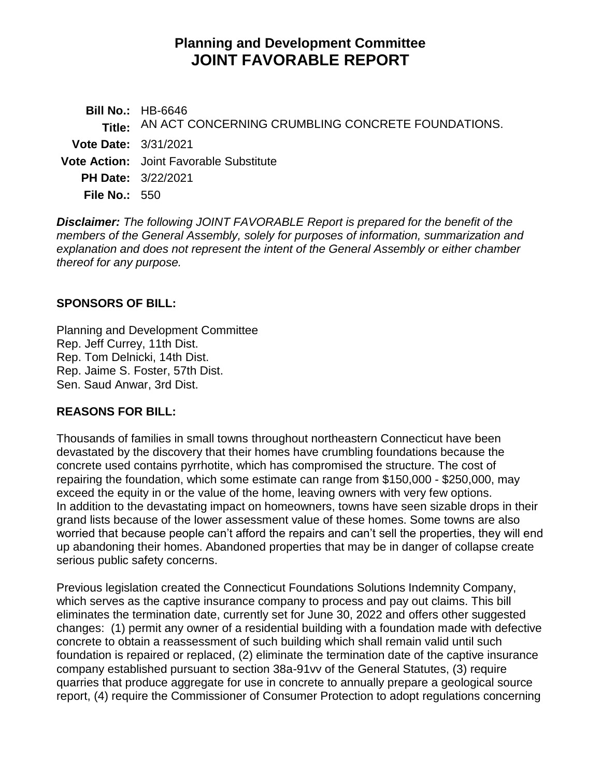# **Planning and Development Committee JOINT FAVORABLE REPORT**

**Bill No.:** HB-6646 **Title:** AN ACT CONCERNING CRUMBLING CONCRETE FOUNDATIONS. **Vote Date:** 3/31/2021 **Vote Action:** Joint Favorable Substitute **PH Date:** 3/22/2021 **File No.:** 550

*Disclaimer: The following JOINT FAVORABLE Report is prepared for the benefit of the members of the General Assembly, solely for purposes of information, summarization and explanation and does not represent the intent of the General Assembly or either chamber thereof for any purpose.*

## **SPONSORS OF BILL:**

Planning and Development Committee Rep. Jeff Currey, 11th Dist. Rep. Tom Delnicki, 14th Dist. Rep. Jaime S. Foster, 57th Dist. Sen. Saud Anwar, 3rd Dist.

## **REASONS FOR BILL:**

Thousands of families in small towns throughout northeastern Connecticut have been devastated by the discovery that their homes have crumbling foundations because the concrete used contains pyrrhotite, which has compromised the structure. The cost of repairing the foundation, which some estimate can range from \$150,000 - \$250,000, may exceed the equity in or the value of the home, leaving owners with very few options. In addition to the devastating impact on homeowners, towns have seen sizable drops in their grand lists because of the lower assessment value of these homes. Some towns are also worried that because people can't afford the repairs and can't sell the properties, they will end up abandoning their homes. Abandoned properties that may be in danger of collapse create serious public safety concerns.

Previous legislation created the Connecticut Foundations Solutions Indemnity Company, which serves as the captive insurance company to process and pay out claims. This bill eliminates the termination date, currently set for June 30, 2022 and offers other suggested changes: (1) permit any owner of a residential building with a foundation made with defective concrete to obtain a reassessment of such building which shall remain valid until such foundation is repaired or replaced, (2) eliminate the termination date of the captive insurance company established pursuant to section 38a-91vv of the General Statutes, (3) require quarries that produce aggregate for use in concrete to annually prepare a geological source report, (4) require the Commissioner of Consumer Protection to adopt regulations concerning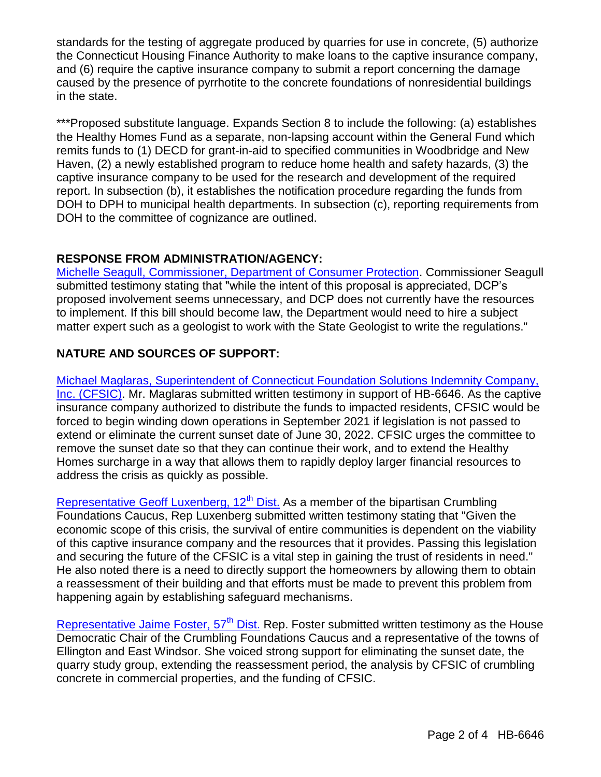standards for the testing of aggregate produced by quarries for use in concrete, (5) authorize the Connecticut Housing Finance Authority to make loans to the captive insurance company, and (6) require the captive insurance company to submit a report concerning the damage caused by the presence of pyrrhotite to the concrete foundations of nonresidential buildings in the state.

\*\*\*Proposed substitute language. Expands Section 8 to include the following: (a) establishes the Healthy Homes Fund as a separate, non-lapsing account within the General Fund which remits funds to (1) DECD for grant-in-aid to specified communities in Woodbridge and New Haven, (2) a newly established program to reduce home health and safety hazards, (3) the captive insurance company to be used for the research and development of the required report. In subsection (b), it establishes the notification procedure regarding the funds from DOH to DPH to municipal health departments. In subsection (c), reporting requirements from DOH to the committee of cognizance are outlined.

## **RESPONSE FROM ADMINISTRATION/AGENCY:**

[Michelle Seagull, Commissioner, Department of Consumer Protection.](https://www.cga.ct.gov/2021/PDdata/Tmy/2021HB-06646-R000322-Seagull,%20Michelle,%20Commissioner-Department%20of%20Consumer%20Protection-TMY.PDF) Commissioner Seagull submitted testimony stating that "while the intent of this proposal is appreciated, DCP's proposed involvement seems unnecessary, and DCP does not currently have the resources to implement. If this bill should become law, the Department would need to hire a subject matter expert such as a geologist to work with the State Geologist to write the regulations."

## **NATURE AND SOURCES OF SUPPORT:**

[Michael Maglaras, Superintendent of Connecticut Foundation Solutions Indemnity Company,](https://www.cga.ct.gov/2021/PDdata/Tmy/2021HB-06646-R000322-Maglaras,%20Michael,%20Superintendent-CT%20Foundation%20Solutions%20Company%20INC-Crumbling%20Concrete%20Found%20Sup.-TMY.PDF)  [Inc. \(CFSIC\).](https://www.cga.ct.gov/2021/PDdata/Tmy/2021HB-06646-R000322-Maglaras,%20Michael,%20Superintendent-CT%20Foundation%20Solutions%20Company%20INC-Crumbling%20Concrete%20Found%20Sup.-TMY.PDF) Mr. Maglaras submitted written testimony in support of HB-6646. As the captive insurance company authorized to distribute the funds to impacted residents, CFSIC would be forced to begin winding down operations in September 2021 if legislation is not passed to extend or eliminate the current sunset date of June 30, 2022. CFSIC urges the committee to remove the sunset date so that they can continue their work, and to extend the Healthy Homes surcharge in a way that allows them to rapidly deploy larger financial resources to address the crisis as quickly as possible.

[Representative Geoff Luxenberg, 12](https://www.cga.ct.gov/2021/PDdata/Tmy/2021HB-06646-R000322-Luxenberg,%20Geoff,%20Representative-CT%20House%20of%20Representatives-Crumbling%20Concrete%20Found%20Sup.-TMY.PDF)<sup>th</sup> Dist. As a member of the bipartisan Crumbling Foundations Caucus, Rep Luxenberg submitted written testimony stating that "Given the economic scope of this crisis, the survival of entire communities is dependent on the viability of this captive insurance company and the resources that it provides. Passing this legislation and securing the future of the CFSIC is a vital step in gaining the trust of residents in need." He also noted there is a need to directly support the homeowners by allowing them to obtain a reassessment of their building and that efforts must be made to prevent this problem from happening again by establishing safeguard mechanisms.

Representative Jaime Foster,  $57<sup>th</sup>$  Dist. Rep. Foster submitted written testimony as the House Democratic Chair of the Crumbling Foundations Caucus and a representative of the towns of Ellington and East Windsor. She voiced strong support for eliminating the sunset date, the quarry study group, extending the reassessment period, the analysis by CFSIC of crumbling concrete in commercial properties, and the funding of CFSIC.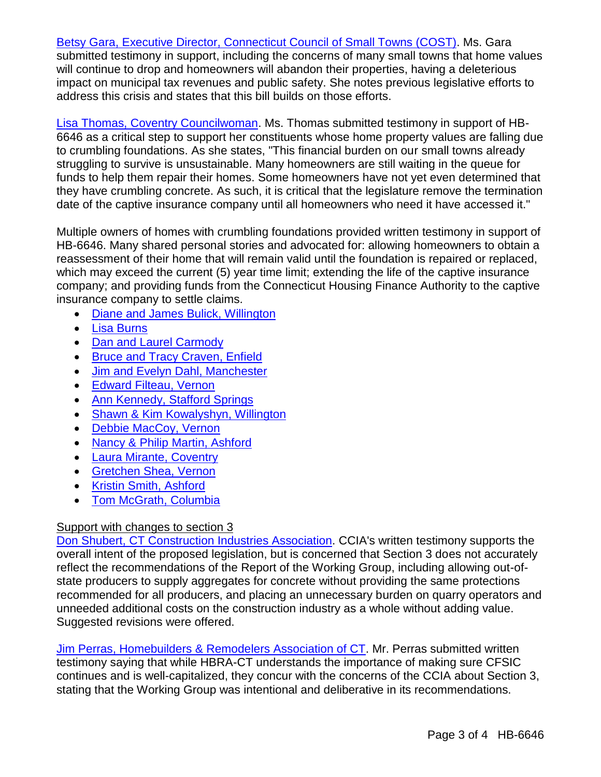[Betsy Gara, Executive Director, Connecticut Council of Small Towns \(COST\).](https://www.cga.ct.gov/2021/PDdata/Tmy/2021HB-06646-R000322-Gara,%20Betsy,%20Executive%20Director-COST-Crumbling%20Concrete%20Found%20Sup.-TMY.PDF) Ms. Gara submitted testimony in support, including the concerns of many small towns that home values will continue to drop and homeowners will abandon their properties, having a deleterious impact on municipal tax revenues and public safety. She notes previous legislative efforts to address this crisis and states that this bill builds on those efforts.

[Lisa Thomas, Coventry Councilwoman.](https://www.cga.ct.gov/2021/PDdata/Tmy/2021HB-06646-R000322-Thomas,%20Lisa,%20Councilwoman-Coventry%20Town-6646%20sup-TMY.PDF) Ms. Thomas submitted testimony in support of HB-6646 as a critical step to support her constituents whose home property values are falling due to crumbling foundations. As she states, "This financial burden on our small towns already struggling to survive is unsustainable. Many homeowners are still waiting in the queue for funds to help them repair their homes. Some homeowners have not yet even determined that they have crumbling concrete. As such, it is critical that the legislature remove the termination date of the captive insurance company until all homeowners who need it have accessed it."

Multiple owners of homes with crumbling foundations provided written testimony in support of HB-6646. Many shared personal stories and advocated for: allowing homeowners to obtain a reassessment of their home that will remain valid until the foundation is repaired or replaced, which may exceed the current (5) year time limit; extending the life of the captive insurance company; and providing funds from the Connecticut Housing Finance Authority to the captive insurance company to settle claims.

- [Diane and James Bulick, Willington](https://www.cga.ct.gov/2021/PDdata/Tmy/2021HB-06646-R000322-Bulick,%20Diane%20and%20James-Support-TMY.PDF)
- [Lisa Burns](https://www.cga.ct.gov/2021/PDdata/Tmy/2021HB-06646-R000322-Burns,%20Lisa-Support-TMY.PDF)
- [Dan and Laurel Carmody](https://www.cga.ct.gov/2021/PDdata/Tmy/2021HB-06646-R000322-Carmody,%20Dan%20and%20Laurel-Support-TMY.PDF)
- [Bruce and Tracy Craven, Enfield](https://www.cga.ct.gov/2021/PDdata/Tmy/2021HB-06646-R000322-Craven,%20Bruce%20and%20Tracy-Support-TMY.PDF)
- [Jim and Evelyn Dahl, Manchester](https://www.cga.ct.gov/2021/PDdata/Tmy/2021HB-06646-R000322-Dahl,%20Jim%20and%20Evelyn-Support-TMY.PDF)
- [Edward Filteau, Vernon](https://www.cga.ct.gov/2021/PDdata/Tmy/2021HB-06646-R000322-Filteau,%20Edward-Support-TMY.PDF)
- [Ann Kennedy, Stafford Springs](https://www.cga.ct.gov/2021/PDdata/Tmy/2021HB-06646-R000322-Kennedy,%20Ann-6646%20Sup-TMY.PDF)
- [Shawn & Kim Kowalyshyn, Willington](https://www.cga.ct.gov/2021/PDdata/Tmy/2021HB-06646-R000322-Kowalyshyn,%20Shawn%20and%20Kim-Support-TMY.PDF)
- [Debbie MacCoy, Vernon](https://www.cga.ct.gov/2021/PDdata/Tmy/2021HB-06646-R000322-MacCoy,%20Debbie-Support-TMY.PDF)
- [Nancy & Philip Martin, Ashford](https://www.cga.ct.gov/2021/PDdata/Tmy/2021HB-06646-R000322-Martin,%20Nancy%20and%20Philip-Support-TMY.PDF)
- **[Laura Mirante, Coventry](https://www.cga.ct.gov/2021/PDdata/Tmy/2021HB-06646-R000322-Mirante,%20Laura-6646%20Sup-TMY.PDF)**
- [Gretchen Shea, Vernon](https://www.cga.ct.gov/2021/PDdata/Tmy/2021HB-06646-R000322-Shea,%20Gretchen-6646%20Sup-TMY.PDF)
- [Kristin Smith, Ashford](https://www.cga.ct.gov/2021/PDdata/Tmy/2021HB-06646-R000322-Smith,%20Kristin-Support-TMY.PDF)
- [Tom McGrath, Columbia](https://www.cga.ct.gov/2021/PDdata/Tmy/2021HB-06646-R000322-McGrath,%20Tom-Support-TMY.PDF)

## Support with changes to section 3

[Don Shubert, CT Construction Industries Association.](https://www.cga.ct.gov/2021/PDdata/Tmy/2021HB-06646-R000322-CT%20Construction%20Industries%20Assn-Support%20with%20changes-TMY.PDF) CCIA's written testimony supports the overall intent of the proposed legislation, but is concerned that Section 3 does not accurately reflect the recommendations of the Report of the Working Group, including allowing out-ofstate producers to supply aggregates for concrete without providing the same protections recommended for all producers, and placing an unnecessary burden on quarry operators and unneeded additional costs on the construction industry as a whole without adding value. Suggested revisions were offered.

[Jim Perras, Homebuilders & Remodelers Association of CT.](https://www.cga.ct.gov/2021/PDdata/Tmy/2021HB-06646-R000322-Perras,%20Jim,%20CEO-Homebuilders%20-%20Remodelers%20Association%20of%20CT-1064%20supp,%201068%20opp,%206639%20supp,%206641%20supp%20change,-TMY.PDF) Mr. Perras submitted written testimony saying that while HBRA-CT understands the importance of making sure CFSIC continues and is well-capitalized, they concur with the concerns of the CCIA about Section 3, stating that the Working Group was intentional and deliberative in its recommendations.